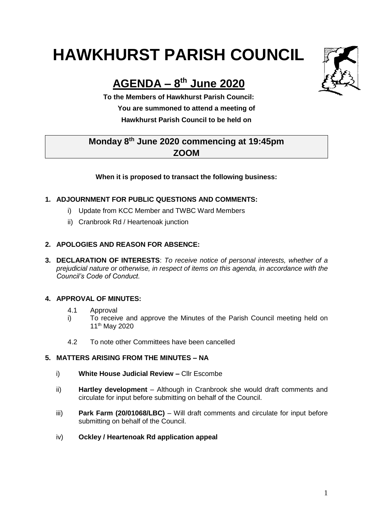# **HAWKHURST PARISH COUNCIL**

# **AGENDA – 8 th June 2020**

**To the Members of Hawkhurst Parish Council: You are summoned to attend a meeting of Hawkhurst Parish Council to be held on**

# **Monday 8th June 2020 commencing at 19:45pm ZOOM**

#### **When it is proposed to transact the following business:**

### **1. ADJOURNMENT FOR PUBLIC QUESTIONS AND COMMENTS:**

- i) Update from KCC Member and TWBC Ward Members
- ii) Cranbrook Rd / Heartenoak junction

#### **2. APOLOGIES AND REASON FOR ABSENCE:**

**3. DECLARATION OF INTERESTS**: *To receive notice of personal interests, whether of a prejudicial nature or otherwise, in respect of items on this agenda, in accordance with the Council's Code of Conduct.*

#### **4. APPROVAL OF MINUTES:**

- 4.1 Approval
- i) To receive and approve the Minutes of the Parish Council meeting held on 11 th May 2020
- 4.2 To note other Committees have been cancelled

#### **5. MATTERS ARISING FROM THE MINUTES – NA**

- i) **White House Judicial Review –** Cllr Escombe
- ii) **Hartley development** Although in Cranbrook she would draft comments and circulate for input before submitting on behalf of the Council.
- iii) **Park Farm (20/01068/LBC)** Will draft comments and circulate for input before submitting on behalf of the Council.
- iv) **Ockley / Heartenoak Rd application appeal**

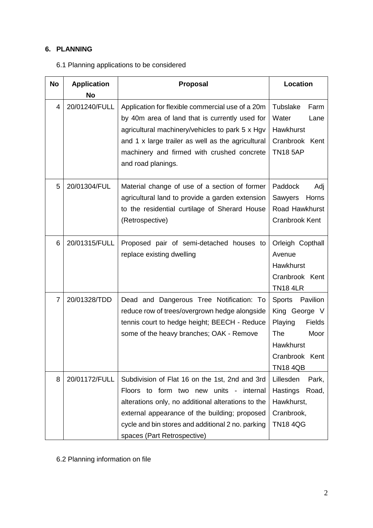## **6. PLANNING**

| <b>No</b> | <b>Application</b><br><b>No</b> | Proposal                                                                                                                                                                                                                                                                                   | <b>Location</b>                                                                                                                                |
|-----------|---------------------------------|--------------------------------------------------------------------------------------------------------------------------------------------------------------------------------------------------------------------------------------------------------------------------------------------|------------------------------------------------------------------------------------------------------------------------------------------------|
| 4         | 20/01240/FULL                   | Application for flexible commercial use of a 20m<br>by 40m area of land that is currently used for<br>agricultural machinery/vehicles to park 5 x Hgv<br>and 1 x large trailer as well as the agricultural<br>machinery and firmed with crushed concrete<br>and road planings.             | <b>Tubslake</b><br>Farm<br>Water<br>Lane<br>Hawkhurst<br>Cranbrook Kent<br><b>TN18 5AP</b>                                                     |
| 5         | 20/01304/FUL                    | Material change of use of a section of former<br>agricultural land to provide a garden extension<br>to the residential curtilage of Sherard House<br>(Retrospective)                                                                                                                       | Paddock<br>Adj<br>Horns<br>Sawyers<br>Road Hawkhurst<br><b>Cranbrook Kent</b>                                                                  |
| 6         | 20/01315/FULL                   | Proposed pair of semi-detached houses to<br>replace existing dwelling                                                                                                                                                                                                                      | Orleigh Copthall<br>Avenue<br>Hawkhurst<br>Cranbrook Kent<br><b>TN18 4LR</b>                                                                   |
| 7         | 20/01328/TDD                    | Dead and Dangerous Tree Notification: To<br>reduce row of trees/overgrown hedge alongside<br>tennis court to hedge height; BEECH - Reduce<br>some of the heavy branches; OAK - Remove                                                                                                      | Pavilion<br><b>Sports</b><br>King George V<br>Playing<br><b>Fields</b><br>The<br>Moor<br><b>Hawkhurst</b><br>Cranbrook Kent<br><b>TN18 4QB</b> |
| 8         | 20/01172/FULL                   | Subdivision of Flat 16 on the 1st, 2nd and 3rd<br>Floors to form two new<br>units -<br>internal<br>alterations only, no additional alterations to the<br>external appearance of the building; proposed<br>cycle and bin stores and additional 2 no. parking<br>spaces (Part Retrospective) | Lillesden<br>Park,<br>Hastings<br>Road,<br>Hawkhurst,<br>Cranbrook,<br><b>TN18 4QG</b>                                                         |

6.2 Planning information on file